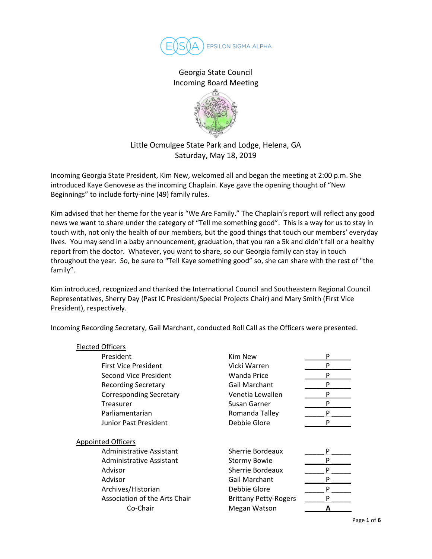

Georgia State Council Incoming Board Meeting



## Little Ocmulgee State Park and Lodge, Helena, GA Saturday, May 18, 2019

Incoming Georgia State President, Kim New, welcomed all and began the meeting at 2:00 p.m. She introduced Kaye Genovese as the incoming Chaplain. Kaye gave the opening thought of "New Beginnings" to include forty-nine (49) family rules.

Kim advised that her theme for the year is "We Are Family." The Chaplain's report will reflect any good news we want to share under the category of "Tell me something good". This is a way for us to stay in touch with, not only the health of our members, but the good things that touch our members' everyday lives. You may send in a baby announcement, graduation, that you ran a 5k and didn't fall or a healthy report from the doctor. Whatever, you want to share, so our Georgia family can stay in touch throughout the year. So, be sure to "Tell Kaye something good" so, she can share with the rest of "the family".

Kim introduced, recognized and thanked the International Council and Southeastern Regional Council Representatives, Sherry Day (Past IC President/Special Projects Chair) and Mary Smith (First Vice President), respectively.

Incoming Recording Secretary, Gail Marchant, conducted Roll Call as the Officers were presented.

| P<br>P<br>P |
|-------------|
|             |
|             |
|             |
| P           |
| P           |
| P           |
| P           |
| P           |
|             |
|             |
| P           |
| P           |
| P           |
| P           |
| P           |
| P           |
|             |
|             |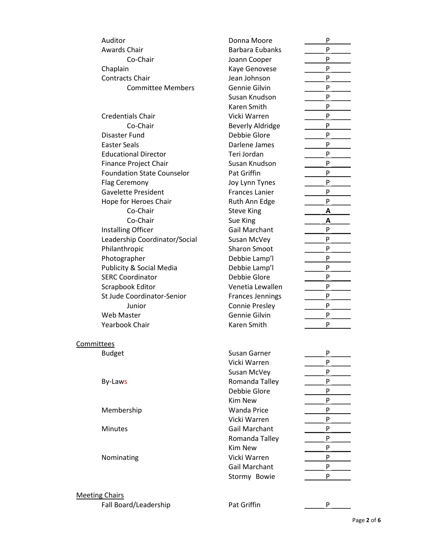| Auditor                           | Donna Moore             | P        |
|-----------------------------------|-------------------------|----------|
| Awards Chair                      | <b>Barbara Eubanks</b>  | P        |
| Co-Chair                          | Joann Cooper            | P        |
| Chaplain                          | Kaye Genovese           | P        |
| <b>Contracts Chair</b>            | Jean Johnson            | P        |
| <b>Committee Members</b>          | Gennie Gilvin           | P        |
|                                   | Susan Knudson           | P        |
|                                   | Karen Smith             | P        |
| <b>Credentials Chair</b>          | Vicki Warren            | P        |
| Co-Chair                          | <b>Beverly Aldridge</b> | P        |
| Disaster Fund                     | Debbie Glore            | P        |
| <b>Easter Seals</b>               | Darlene James           | P        |
| <b>Educational Director</b>       | Teri Jordan             | P        |
| Finance Project Chair             | Susan Knudson           | P        |
| <b>Foundation State Counselor</b> | Pat Griffin             | P        |
| Flag Ceremony                     | Joy Lynn Tynes          | P        |
| <b>Gavelette President</b>        | <b>Frances Lanier</b>   | P        |
| Hope for Heroes Chair             | Ruth Ann Edge           | P        |
| Co-Chair                          | <b>Steve King</b>       | <u>А</u> |
| Co-Chair                          | Sue King                | Α        |
| Installing Officer                | Gail Marchant           | P        |
| Leadership Coordinator/Social     | Susan McVey             | P        |
| Philanthropic                     | <b>Sharon Smoot</b>     | P        |
| Photographer                      | Debbie Lamp'l           | P        |
| Publicity & Social Media          | Debbie Lamp'l           | P        |
| <b>SERC Coordinator</b>           | Debbie Glore            | P        |
| Scrapbook Editor                  | Venetia Lewallen        | P        |
| St Jude Coordinator-Senior        | <b>Frances Jennings</b> | P        |
| Junior                            | <b>Connie Presley</b>   | P        |
| Web Master                        | Gennie Gilvin           | P        |
| <b>Yearbook Chair</b>             | Karen Smith             | P        |
| Committees                        |                         |          |
| <b>Budget</b>                     | Susan Garner            | P        |
|                                   | Vicki Warren            | P        |
|                                   | Susan McVey             | P        |
| By-Laws                           | Romanda Talley          | P        |
|                                   | Debbie Glore            | P        |
|                                   | <b>Kim New</b>          | P        |
| Membership                        | <b>Wanda Price</b>      | P        |
|                                   | Vicki Warren            | P        |
| <b>Minutes</b>                    | Gail Marchant           | P        |
|                                   | Romanda Talley          | P        |
|                                   | <b>Kim New</b>          | P        |
| Nominating                        | Vicki Warren            | P        |
|                                   | Gail Marchant           | P        |
|                                   | Stormy Bowie            | P        |
|                                   |                         |          |
| <b>Meeting Chairs</b>             |                         |          |

## Fall Board/Leadership Pat Griffin Pat Griffin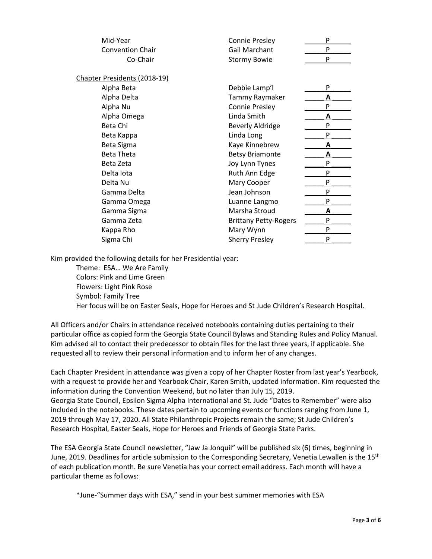| Mid-Year                     | <b>Connie Presley</b>        | P |
|------------------------------|------------------------------|---|
| <b>Convention Chair</b>      | Gail Marchant                | P |
| Co-Chair                     | <b>Stormy Bowie</b>          | P |
| Chapter Presidents (2018-19) |                              |   |
| Alpha Beta                   | Debbie Lamp'l                | P |
| Alpha Delta                  | Tammy Raymaker               | А |
| Alpha Nu                     | <b>Connie Presley</b>        | P |
| Alpha Omega                  | Linda Smith                  | Α |
| Beta Chi                     | <b>Beverly Aldridge</b>      | P |
| Beta Kappa                   | Linda Long                   | P |
| Beta Sigma                   | Kaye Kinnebrew               | Α |
| <b>Beta Theta</b>            | <b>Betsy Briamonte</b>       | А |
| Beta Zeta                    | Joy Lynn Tynes               | P |
| Delta lota                   | Ruth Ann Edge                | P |
| Delta Nu                     | Mary Cooper                  | P |
| Gamma Delta                  | Jean Johnson                 | P |
| Gamma Omega                  | Luanne Langmo                | P |
| Gamma Sigma                  | Marsha Stroud                | A |
| Gamma Zeta                   | <b>Brittany Petty-Rogers</b> | P |
| Kappa Rho                    | Mary Wynn                    | P |
| Sigma Chi                    | <b>Sherry Presley</b>        | P |

Kim provided the following details for her Presidential year:

Theme: ESA… We Are Family Colors: Pink and Lime Green Flowers: Light Pink Rose Symbol: Family Tree Her focus will be on Easter Seals, Hope for Heroes and St Jude Children's Research Hospital.

All Officers and/or Chairs in attendance received notebooks containing duties pertaining to their particular office as copied form the Georgia State Council Bylaws and Standing Rules and Policy Manual. Kim advised all to contact their predecessor to obtain files for the last three years, if applicable. She requested all to review their personal information and to inform her of any changes.

Each Chapter President in attendance was given a copy of her Chapter Roster from last year's Yearbook, with a request to provide her and Yearbook Chair, Karen Smith, updated information. Kim requested the information during the Convention Weekend, but no later than July 15, 2019. Georgia State Council, Epsilon Sigma Alpha International and St. Jude "Dates to Remember" were also included in the notebooks. These dates pertain to upcoming events or functions ranging from June 1, 2019 through May 17, 2020. All State Philanthropic Projects remain the same; St Jude Children's Research Hospital, Easter Seals, Hope for Heroes and Friends of Georgia State Parks.

The ESA Georgia State Council newsletter, "Jaw Ja Jonquil" will be published six (6) times, beginning in June, 2019. Deadlines for article submission to the Corresponding Secretary, Venetia Lewallen is the 15<sup>th</sup> of each publication month. Be sure Venetia has your correct email address. Each month will have a particular theme as follows:

\*June-"Summer days with ESA," send in your best summer memories with ESA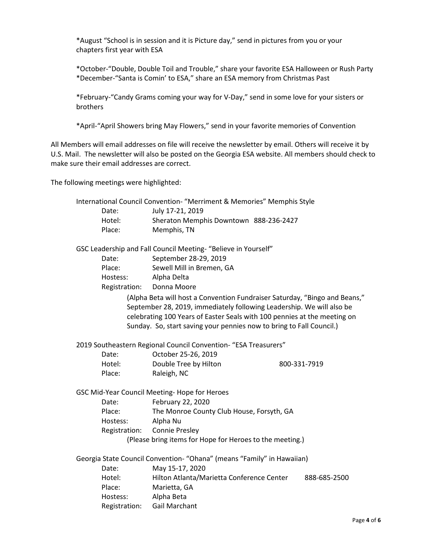\*August "School is in session and it is Picture day," send in pictures from you or your chapters first year with ESA

\*October-"Double, Double Toil and Trouble," share your favorite ESA Halloween or Rush Party \*December-"Santa is Comin' to ESA," share an ESA memory from Christmas Past

\*February-"Candy Grams coming your way for V-Day," send in some love for your sisters or brothers

\*April-"April Showers bring May Flowers," send in your favorite memories of Convention

All Members will email addresses on file will receive the newsletter by email. Others will receive it by U.S. Mail. The newsletter will also be posted on the Georgia ESA website. All members should check to make sure their email addresses are correct.

The following meetings were highlighted:

|               | International Council Convention- "Merriment & Memories" Memphis Style                                                                                                                                                                                                                                  |              |
|---------------|---------------------------------------------------------------------------------------------------------------------------------------------------------------------------------------------------------------------------------------------------------------------------------------------------------|--------------|
| Date:         | July 17-21, 2019                                                                                                                                                                                                                                                                                        |              |
| Hotel:        | Sheraton Memphis Downtown 888-236-2427                                                                                                                                                                                                                                                                  |              |
| Place:        | Memphis, TN                                                                                                                                                                                                                                                                                             |              |
|               | GSC Leadership and Fall Council Meeting- "Believe in Yourself"                                                                                                                                                                                                                                          |              |
| Date:         | September 28-29, 2019                                                                                                                                                                                                                                                                                   |              |
| Place:        | Sewell Mill in Bremen, GA                                                                                                                                                                                                                                                                               |              |
| Hostess:      | Alpha Delta                                                                                                                                                                                                                                                                                             |              |
| Registration: | Donna Moore                                                                                                                                                                                                                                                                                             |              |
|               | (Alpha Beta will host a Convention Fundraiser Saturday, "Bingo and Beans,"<br>September 28, 2019, immediately following Leadership. We will also be<br>celebrating 100 Years of Easter Seals with 100 pennies at the meeting on<br>Sunday. So, start saving your pennies now to bring to Fall Council.) |              |
|               | 2019 Southeastern Regional Council Convention- "ESA Treasurers"                                                                                                                                                                                                                                         |              |
| Date:         | October 25-26, 2019                                                                                                                                                                                                                                                                                     |              |
| Hotel:        | Double Tree by Hilton                                                                                                                                                                                                                                                                                   | 800-331-7919 |
| Place:        | Raleigh, NC                                                                                                                                                                                                                                                                                             |              |
|               | GSC Mid-Year Council Meeting- Hope for Heroes                                                                                                                                                                                                                                                           |              |
| Date:         | February 22, 2020                                                                                                                                                                                                                                                                                       |              |
| Place:        | The Monroe County Club House, Forsyth, GA                                                                                                                                                                                                                                                               |              |
| Hostess:      | Alpha Nu                                                                                                                                                                                                                                                                                                |              |
| Registration: | <b>Connie Presley</b>                                                                                                                                                                                                                                                                                   |              |
|               | (Please bring items for Hope for Heroes to the meeting.)                                                                                                                                                                                                                                                |              |
|               | Georgia State Council Convention- "Ohana" (means "Family" in Hawaiian)                                                                                                                                                                                                                                  |              |
| Date:         | May 15-17, 2020                                                                                                                                                                                                                                                                                         |              |
| Hotel:        | Hilton Atlanta/Marietta Conference Center                                                                                                                                                                                                                                                               | 888-685-2500 |
| Place:        | Marietta, GA                                                                                                                                                                                                                                                                                            |              |
| Hostess:      | Alpha Beta                                                                                                                                                                                                                                                                                              |              |
| Registration: | <b>Gail Marchant</b>                                                                                                                                                                                                                                                                                    |              |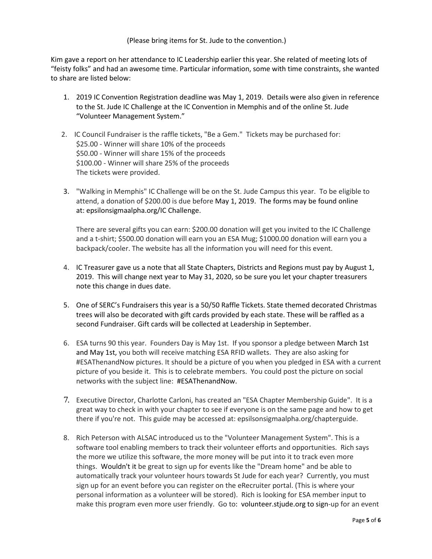## (Please bring items for St. Jude to the convention.)

Kim gave a report on her attendance to IC Leadership earlier this year. She related of meeting lots of "feisty folks" and had an awesome time. Particular information, some with time constraints, she wanted to share are listed below:

- 1. 2019 IC Convention Registration deadline was May 1, 2019. Details were also given in reference to the St. Jude IC Challenge at the IC Convention in Memphis and of the online St. Jude "Volunteer Management System."
- 2. IC Council Fundraiser is the raffle tickets, "Be a Gem." Tickets may be purchased for: \$25.00 - Winner will share 10% of the proceeds \$50.00 - Winner will share 15% of the proceeds \$100.00 - Winner will share 25% of the proceeds The tickets were provided.
- 3. "Walking in Memphis" IC Challenge will be on the St. Jude Campus this year. To be eligible to attend, a donation of \$200.00 is due before May 1, 2019. The forms may be found online at: epsilonsigmaalpha.org/IC Challenge.

There are several gifts you can earn: \$200.00 donation will get you invited to the IC Challenge and a t-shirt; \$500.00 donation will earn you an ESA Mug; \$1000.00 donation will earn you a backpack/cooler. The website has all the information you will need for this event.

- 4. IC Treasurer gave us a note that all State Chapters, Districts and Regions must pay by August 1, 2019. This will change next year to May 31, 2020, so be sure you let your chapter treasurers note this change in dues date.
- 5. One of SERC's Fundraisers this year is a 50/50 Raffle Tickets. State themed decorated Christmas trees will also be decorated with gift cards provided by each state. These will be raffled as a second Fundraiser. Gift cards will be collected at Leadership in September.
- 6. ESA turns 90 this year. Founders Day is May 1st. If you sponsor a pledge between March 1st and May 1st, you both will receive matching ESA RFID wallets. They are also asking for #ESAThenandNow pictures. It should be a picture of you when you pledged in ESA with a current picture of you beside it. This is to celebrate members. You could post the picture on social networks with the subject line: #ESAThenandNow.
- 7. Executive Director, Charlotte Carloni, has created an "ESA Chapter Membership Guide". It is a great way to check in with your chapter to see if everyone is on the same page and how to get there if you're not. This guide may be accessed at: epsilsonsigmaalpha.org/chapterguide.
- 8. Rich Peterson with ALSAC introduced us to the "Volunteer Management System". This is a software tool enabling members to track their volunteer efforts and opportunities. Rich says the more we utilize this software, the more money will be put into it to track even more things. Wouldn't it be great to sign up for events like the "Dream home" and be able to automatically track your volunteer hours towards St Jude for each year? Currently, you must sign up for an event before you can register on the eRecruiter portal. (This is where your personal information as a volunteer will be stored). Rich is looking for ESA member input to make this program even more user friendly. Go to: volunteer.stjude.org to sign-up for an event